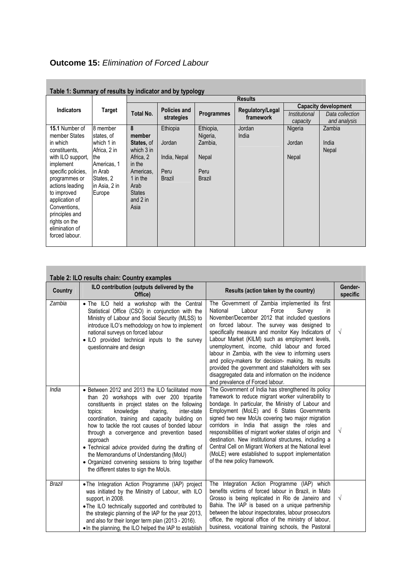## **Outcome 15:** *Elimination of Forced Labour*

and the control of the control of the control of

| Table 1: Summary of results by indicator and by typology |               |                   |                                   |                   |                               |                             |                 |
|----------------------------------------------------------|---------------|-------------------|-----------------------------------|-------------------|-------------------------------|-----------------------------|-----------------|
| <b>Results</b>                                           |               |                   |                                   |                   |                               |                             |                 |
| <b>Indicators</b>                                        | Target        | Total No.         | <b>Policies and</b><br>strategies | <b>Programmes</b> | Regulatory/Legal<br>framework | Capacity development        |                 |
|                                                          |               |                   |                                   |                   |                               | <i><b>Institutional</b></i> | Data collection |
|                                                          |               |                   |                                   |                   |                               | capacity                    | and analysis    |
| 15.1 Number of                                           | 8 member      | 8                 | Ethiopia                          | Ethiopia,         | Jordan                        | Nigeria                     | Zambia          |
| member States                                            | states, of    | member            |                                   | Nigeria,          | India                         |                             |                 |
| in which                                                 | which 1 in    | <b>States, of</b> | Jordan                            | Zambia,           |                               | Jordan                      | India           |
| constituents.                                            | Africa. 2 in  | which 3 in        |                                   |                   |                               |                             | Nepal           |
| with ILO support,                                        | the           | Africa, 2         | India, Nepal                      | Nepal             |                               | Nepal                       |                 |
| implement                                                | Americas, 1   | in the            |                                   |                   |                               |                             |                 |
| specific policies,                                       | in Arab       | Americas.         | Peru                              | Peru              |                               |                             |                 |
| programmes or                                            | States, 2     | 1 in the          | <b>Brazil</b>                     | <b>Brazil</b>     |                               |                             |                 |
| actions leading                                          | in Asia, 2 in | Arab              |                                   |                   |                               |                             |                 |
| to improved                                              | Europe        | <b>States</b>     |                                   |                   |                               |                             |                 |
| application of                                           |               | and $2$ in        |                                   |                   |                               |                             |                 |
| Conventions,<br>principles and                           |               | Asia              |                                   |                   |                               |                             |                 |
| rights on the                                            |               |                   |                                   |                   |                               |                             |                 |
| elimination of                                           |               |                   |                                   |                   |                               |                             |                 |
| forced labour.                                           |               |                   |                                   |                   |                               |                             |                 |
|                                                          |               |                   |                                   |                   |                               |                             |                 |

| Table 2: ILO results chain: Country examples |                                                                                                                                                                                                                                                                                                                                                                                                                                                                                                                                                                   |                                                                                                                                                                                                                                                                                                                                                                                                                                                                                                                                                                                                                         |                     |  |  |  |
|----------------------------------------------|-------------------------------------------------------------------------------------------------------------------------------------------------------------------------------------------------------------------------------------------------------------------------------------------------------------------------------------------------------------------------------------------------------------------------------------------------------------------------------------------------------------------------------------------------------------------|-------------------------------------------------------------------------------------------------------------------------------------------------------------------------------------------------------------------------------------------------------------------------------------------------------------------------------------------------------------------------------------------------------------------------------------------------------------------------------------------------------------------------------------------------------------------------------------------------------------------------|---------------------|--|--|--|
| <b>Country</b>                               | ILO contribution (outputs delivered by the<br>Office)                                                                                                                                                                                                                                                                                                                                                                                                                                                                                                             | Results (action taken by the country)                                                                                                                                                                                                                                                                                                                                                                                                                                                                                                                                                                                   | Gender-<br>specific |  |  |  |
| Zambia                                       | . The ILO held a workshop with the Central<br>Statistical Office (CSO) in conjunction with the<br>Ministry of Labour and Social Security (MLSS) to<br>introduce ILO's methodology on how to implement<br>national surveys on forced labour<br>• ILO provided technical inputs to the survey<br>questionnaire and design                                                                                                                                                                                                                                           | The Government of Zambia implemented its first<br>National<br>Labour<br>Force<br>Survey<br>in.<br>November/December 2012 that included questions<br>on forced labour. The survey was designed to<br>specifically measure and monitor Key Indicators of<br>Labour Market (KILM) such as employment levels,<br>unemployment, income, child labour and forced<br>labour in Zambia, with the view to informing users<br>and policy-makers for decision- making. Its results<br>provided the government and stakeholders with sex<br>disaggregated data and information on the incidence<br>and prevalence of Forced labour. | $\sqrt{}$           |  |  |  |
| India                                        | • Between 2012 and 2013 the ILO facilitated more<br>than 20 workshops with over 200 tripartite<br>constituents in project states on the following<br>topics:<br>knowledge<br>sharing,<br>inter-state<br>coordination, training and capacity building on<br>how to tackle the root causes of bonded labour<br>through a convergence and prevention based<br>approach<br>• Technical advice provided during the drafting of<br>the Memorandums of Understanding (MoU)<br>• Organized convening sessions to bring together<br>the different states to sign the MoUs. | The Government of India has strengthened its policy<br>framework to reduce migrant worker vulnerability to<br>bondage. In particular, the Ministry of Labour and<br>Employment (MoLE) and 6 States Governments<br>signed two new MoUs covering two major migration<br>corridors in India that assign the roles and<br>responsibilities of migrant worker states of origin and<br>destination. New institutional structures, including a<br>Central Cell on Migrant Workers at the National level<br>(MoLE) were established to support implementation<br>of the new policy framework.                                   | $\sqrt{}$           |  |  |  |
| Brazil                                       | .The Integration Action Programme (IAP) project<br>was initiated by the Ministry of Labour, with ILO<br>support, in 2008.<br>. The ILO technically supported and contributed to<br>the strategic planning of the IAP for the year 2013,<br>and also for their longer term plan (2013 - 2016).<br>• In the planning, the ILO helped the IAP to establish                                                                                                                                                                                                           | The Integration Action Programme (IAP) which<br>benefits victims of forced labour in Brazil, in Mato<br>Grosso is being replicated in Rio de Janeiro and<br>Bahia. The IAP is based on a unique partnership<br>between the labour inspectorates, labour prosecutors<br>office, the regional office of the ministry of labour,<br>business, vocational training schools, the Pastoral                                                                                                                                                                                                                                    | $\sqrt{}$           |  |  |  |